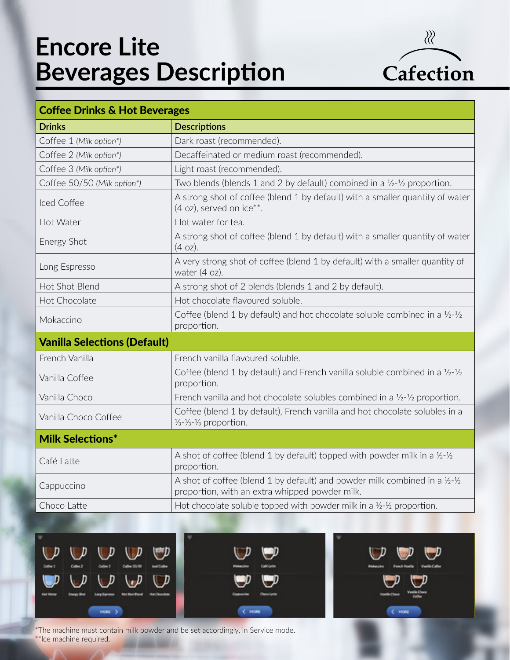## **Encore Lite Beverages Description**



| <b>Coffee Drinks &amp; Hot Beverages</b> |                                                                                                                                                     |
|------------------------------------------|-----------------------------------------------------------------------------------------------------------------------------------------------------|
| <b>Drinks</b>                            | <b>Descriptions</b>                                                                                                                                 |
| Coffee 1 (Milk option*)                  | Dark roast (recommended).                                                                                                                           |
| Coffee 2 (Milk option*)                  | Decaffeinated or medium roast (recommended).                                                                                                        |
| Coffee 3 (Milk option*)                  | Light roast (recommended).                                                                                                                          |
| Coffee 50/50 (Milk option*)              | Two blends (blends 1 and 2 by default) combined in a $\frac{1}{2}$ - $\frac{1}{2}$ proportion.                                                      |
| Iced Coffee                              | A strong shot of coffee (blend 1 by default) with a smaller quantity of water<br>$(4 \text{ oz})$ , served on ice**.                                |
| Hot Water                                | Hot water for tea.                                                                                                                                  |
| Energy Shot                              | A strong shot of coffee (blend 1 by default) with a smaller quantity of water<br>$(4 oz)$ .                                                         |
| Long Espresso                            | A very strong shot of coffee (blend 1 by default) with a smaller quantity of<br>water (4 oz).                                                       |
| Hot Shot Blend                           | A strong shot of 2 blends (blends 1 and 2 by default).                                                                                              |
| Hot Chocolate                            | Hot chocolate flavoured soluble.                                                                                                                    |
| Mokaccino                                | Coffee (blend 1 by default) and hot chocolate soluble combined in a $\frac{1}{2}$ - $\frac{1}{2}$<br>proportion.                                    |
| <b>Vanilla Selections (Default)</b>      |                                                                                                                                                     |
| French Vanilla                           | French vanilla flavoured soluble.                                                                                                                   |
| Vanilla Coffee                           | Coffee (blend 1 by default) and French vanilla soluble combined in a $\frac{1}{2}$ - $\frac{1}{2}$<br>proportion.                                   |
| Vanilla Choco                            | French vanilla and hot chocolate solubles combined in a $\frac{1}{2}$ - $\frac{1}{2}$ proportion.                                                   |
| Vanilla Choco Coffee                     | Coffee (blend 1 by default), French vanilla and hot chocolate solubles in a<br>$\frac{1}{3} - \frac{1}{3} - \frac{1}{3}$ proportion.                |
| <b>Milk Selections*</b>                  |                                                                                                                                                     |
| Café Latte                               | A shot of coffee (blend 1 by default) topped with powder milk in a $\frac{1}{2}$ - $\frac{1}{2}$<br>proportion.                                     |
| Cappuccino                               | A shot of coffee (blend 1 by default) and powder milk combined in a $\frac{1}{2}$ - $\frac{1}{2}$<br>proportion, with an extra whipped powder milk. |
| Choco Latte                              | Hot chocolate soluble topped with powder milk in a $\frac{1}{2}$ - $\frac{1}{2}$ proportion.                                                        |







\*The machine must contain milk powder and be set accordingly, in Service mode. \*\*Ice machine required.